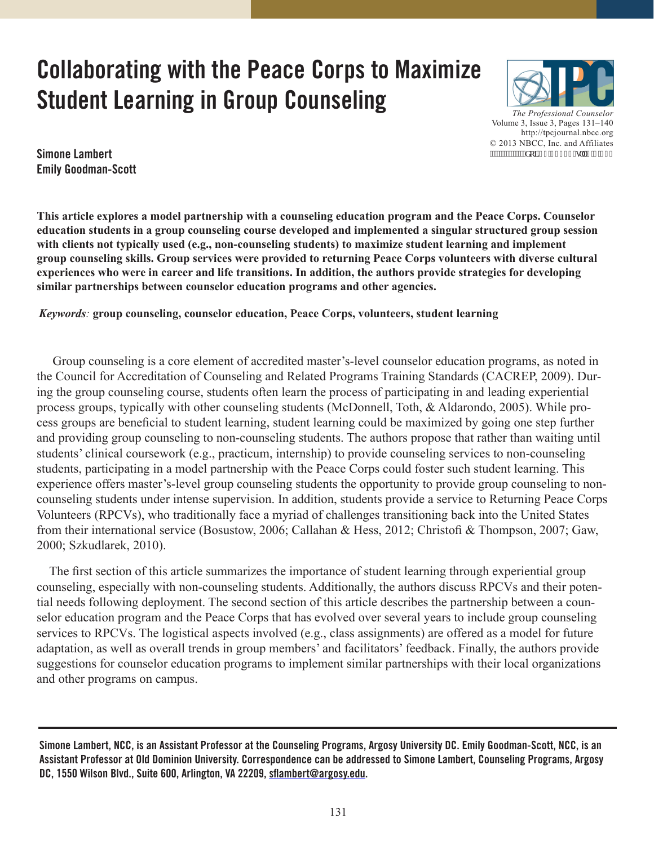# **Collaborating with the Peace Corps to Maximize Student Learning in Group Counseling**



 http://tpcjournal.nbcc.org © 2013 NBCC, Inc. and Affiliates """"""""""""f qk32037463 lurt505033

**Simone Lambert Emily Goodman-Scott**

**This article explores a model partnership with a counseling education program and the Peace Corps. Counselor education students in a group counseling course developed and implemented a singular structured group session with clients not typically used (e.g., non-counseling students) to maximize student learning and implement group counseling skills. Group services were provided to returning Peace Corps volunteers with diverse cultural experiences who were in career and life transitions. In addition, the authors provide strategies for developing similar partnerships between counselor education programs and other agencies.**

## *Keywords:* **group counseling, counselor education, Peace Corps, volunteers, student learning**

 Group counseling is a core element of accredited master's-level counselor education programs, as noted in the Council for Accreditation of Counseling and Related Programs Training Standards (CACREP, 2009). During the group counseling course, students often learn the process of participating in and leading experiential process groups, typically with other counseling students (McDonnell, Toth, & Aldarondo, 2005). While process groups are beneficial to student learning, student learning could be maximized by going one step further and providing group counseling to non-counseling students. The authors propose that rather than waiting until students' clinical coursework (e.g., practicum, internship) to provide counseling services to non-counseling students, participating in a model partnership with the Peace Corps could foster such student learning. This experience offers master's-level group counseling students the opportunity to provide group counseling to noncounseling students under intense supervision. In addition, students provide a service to Returning Peace Corps Volunteers (RPCVs), who traditionally face a myriad of challenges transitioning back into the United States from their international service (Bosustow, 2006; Callahan & Hess, 2012; Christofi & Thompson, 2007; Gaw, 2000; Szkudlarek, 2010).

 The first section of this article summarizes the importance of student learning through experiential group counseling, especially with non-counseling students. Additionally, the authors discuss RPCVs and their potential needs following deployment. The second section of this article describes the partnership between a counselor education program and the Peace Corps that has evolved over several years to include group counseling services to RPCVs. The logistical aspects involved (e.g., class assignments) are offered as a model for future adaptation, as well as overall trends in group members' and facilitators' feedback. Finally, the authors provide suggestions for counselor education programs to implement similar partnerships with their local organizations and other programs on campus.

**Simone Lambert, NCC, is an Assistant Professor at the Counseling Programs, Argosy University DC. Emily Goodman-Scott, NCC, is an Assistant Professor at Old Dominion University. Correspondence can be addressed to Simone Lambert, Counseling Programs, Argosy DC, 1550 Wilson Blvd., Suite 600, Arlington, VA 22209, sflambert@argosy.edu.**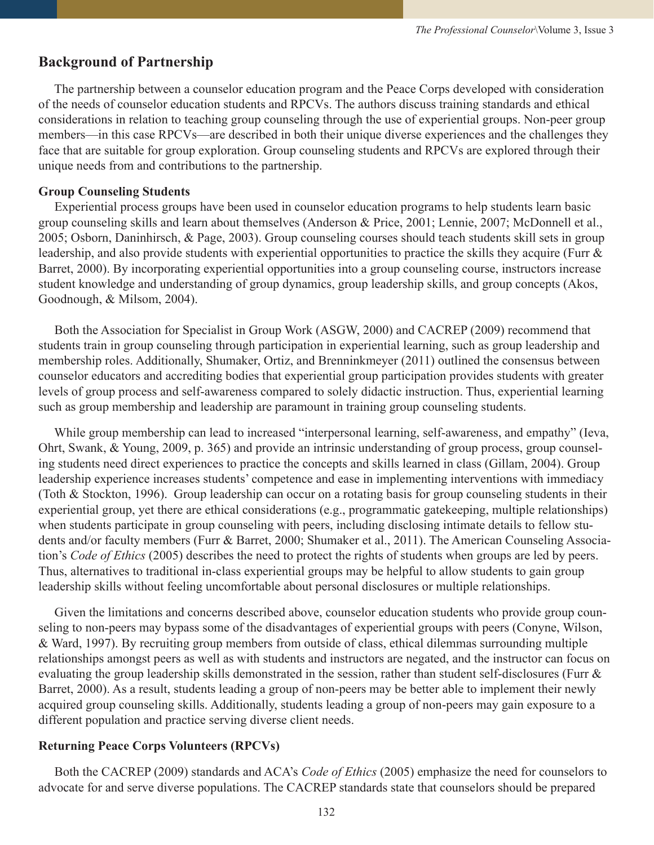# **Background of Partnership**

 The partnership between a counselor education program and the Peace Corps developed with consideration of the needs of counselor education students and RPCVs. The authors discuss training standards and ethical considerations in relation to teaching group counseling through the use of experiential groups. Non-peer group members—in this case RPCVs—are described in both their unique diverse experiences and the challenges they face that are suitable for group exploration. Group counseling students and RPCVs are explored through their unique needs from and contributions to the partnership.

## **Group Counseling Students**

 Experiential process groups have been used in counselor education programs to help students learn basic group counseling skills and learn about themselves (Anderson & Price, 2001; Lennie, 2007; McDonnell et al., 2005; Osborn, Daninhirsch, & Page, 2003). Group counseling courses should teach students skill sets in group leadership, and also provide students with experiential opportunities to practice the skills they acquire (Furr & Barret, 2000). By incorporating experiential opportunities into a group counseling course, instructors increase student knowledge and understanding of group dynamics, group leadership skills, and group concepts (Akos, Goodnough, & Milsom, 2004).

 Both the Association for Specialist in Group Work (ASGW, 2000) and CACREP (2009) recommend that students train in group counseling through participation in experiential learning, such as group leadership and membership roles. Additionally, Shumaker, Ortiz, and Brenninkmeyer (2011) outlined the consensus between counselor educators and accrediting bodies that experiential group participation provides students with greater levels of group process and self-awareness compared to solely didactic instruction. Thus, experiential learning such as group membership and leadership are paramount in training group counseling students.

 While group membership can lead to increased "interpersonal learning, self-awareness, and empathy" (Ieva, Ohrt, Swank, & Young, 2009, p. 365) and provide an intrinsic understanding of group process, group counseling students need direct experiences to practice the concepts and skills learned in class (Gillam, 2004). Group leadership experience increases students' competence and ease in implementing interventions with immediacy (Toth & Stockton, 1996). Group leadership can occur on a rotating basis for group counseling students in their experiential group, yet there are ethical considerations (e.g., programmatic gatekeeping, multiple relationships) when students participate in group counseling with peers, including disclosing intimate details to fellow students and/or faculty members (Furr & Barret, 2000; Shumaker et al., 2011). The American Counseling Association's *Code of Ethics* (2005) describes the need to protect the rights of students when groups are led by peers. Thus, alternatives to traditional in-class experiential groups may be helpful to allow students to gain group leadership skills without feeling uncomfortable about personal disclosures or multiple relationships.

 Given the limitations and concerns described above, counselor education students who provide group counseling to non-peers may bypass some of the disadvantages of experiential groups with peers (Conyne, Wilson, & Ward, 1997). By recruiting group members from outside of class, ethical dilemmas surrounding multiple relationships amongst peers as well as with students and instructors are negated, and the instructor can focus on evaluating the group leadership skills demonstrated in the session, rather than student self-disclosures (Furr & Barret, 2000). As a result, students leading a group of non-peers may be better able to implement their newly acquired group counseling skills. Additionally, students leading a group of non-peers may gain exposure to a different population and practice serving diverse client needs.

## **Returning Peace Corps Volunteers (RPCVs)**

 Both the CACREP (2009) standards and ACA's *Code of Ethics* (2005) emphasize the need for counselors to advocate for and serve diverse populations. The CACREP standards state that counselors should be prepared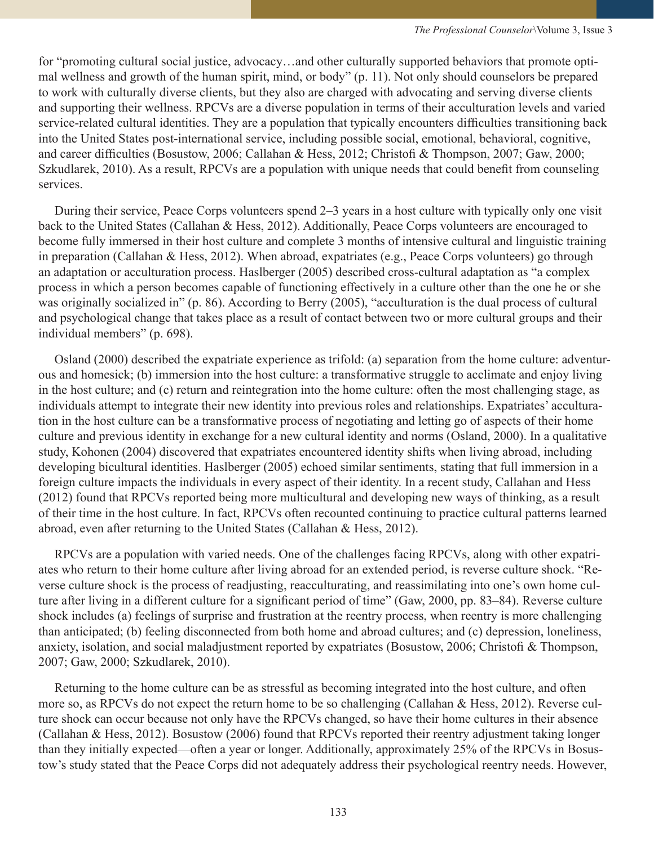for "promoting cultural social justice, advocacy…and other culturally supported behaviors that promote optimal wellness and growth of the human spirit, mind, or body" (p. 11). Not only should counselors be prepared to work with culturally diverse clients, but they also are charged with advocating and serving diverse clients and supporting their wellness. RPCVs are a diverse population in terms of their acculturation levels and varied service-related cultural identities. They are a population that typically encounters difficulties transitioning back into the United States post-international service, including possible social, emotional, behavioral, cognitive, and career difficulties (Bosustow, 2006; Callahan & Hess, 2012; Christofi & Thompson, 2007; Gaw, 2000; Szkudlarek, 2010). As a result, RPCVs are a population with unique needs that could benefit from counseling services.

 During their service, Peace Corps volunteers spend 2–3 years in a host culture with typically only one visit back to the United States (Callahan & Hess, 2012). Additionally, Peace Corps volunteers are encouraged to become fully immersed in their host culture and complete 3 months of intensive cultural and linguistic training in preparation (Callahan & Hess, 2012). When abroad, expatriates (e.g., Peace Corps volunteers) go through an adaptation or acculturation process. Haslberger (2005) described cross-cultural adaptation as "a complex process in which a person becomes capable of functioning effectively in a culture other than the one he or she was originally socialized in" (p. 86). According to Berry (2005), "acculturation is the dual process of cultural and psychological change that takes place as a result of contact between two or more cultural groups and their individual members" (p. 698).

 Osland (2000) described the expatriate experience as trifold: (a) separation from the home culture: adventurous and homesick; (b) immersion into the host culture: a transformative struggle to acclimate and enjoy living in the host culture; and (c) return and reintegration into the home culture: often the most challenging stage, as individuals attempt to integrate their new identity into previous roles and relationships. Expatriates' acculturation in the host culture can be a transformative process of negotiating and letting go of aspects of their home culture and previous identity in exchange for a new cultural identity and norms (Osland, 2000). In a qualitative study, Kohonen (2004) discovered that expatriates encountered identity shifts when living abroad, including developing bicultural identities. Haslberger (2005) echoed similar sentiments, stating that full immersion in a foreign culture impacts the individuals in every aspect of their identity. In a recent study, Callahan and Hess (2012) found that RPCVs reported being more multicultural and developing new ways of thinking, as a result of their time in the host culture. In fact, RPCVs often recounted continuing to practice cultural patterns learned abroad, even after returning to the United States (Callahan & Hess, 2012).

 RPCVs are a population with varied needs. One of the challenges facing RPCVs, along with other expatriates who return to their home culture after living abroad for an extended period, is reverse culture shock. "Reverse culture shock is the process of readjusting, reacculturating, and reassimilating into one's own home culture after living in a different culture for a significant period of time" (Gaw, 2000, pp. 83–84). Reverse culture shock includes (a) feelings of surprise and frustration at the reentry process, when reentry is more challenging than anticipated; (b) feeling disconnected from both home and abroad cultures; and (c) depression, loneliness, anxiety, isolation, and social maladjustment reported by expatriates (Bosustow, 2006; Christofi & Thompson, 2007; Gaw, 2000; Szkudlarek, 2010).

 Returning to the home culture can be as stressful as becoming integrated into the host culture, and often more so, as RPCVs do not expect the return home to be so challenging (Callahan & Hess, 2012). Reverse culture shock can occur because not only have the RPCVs changed, so have their home cultures in their absence (Callahan & Hess, 2012). Bosustow (2006) found that RPCVs reported their reentry adjustment taking longer than they initially expected—often a year or longer. Additionally, approximately 25% of the RPCVs in Bosustow's study stated that the Peace Corps did not adequately address their psychological reentry needs. However,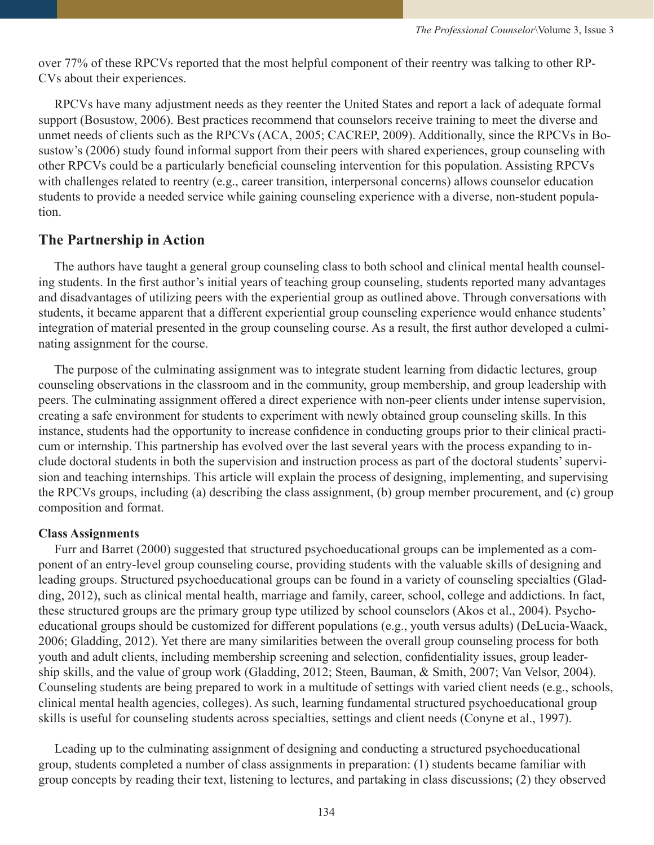over 77% of these RPCVs reported that the most helpful component of their reentry was talking to other RP-CVs about their experiences.

 RPCVs have many adjustment needs as they reenter the United States and report a lack of adequate formal support (Bosustow, 2006). Best practices recommend that counselors receive training to meet the diverse and unmet needs of clients such as the RPCVs (ACA, 2005; CACREP, 2009). Additionally, since the RPCVs in Bosustow's (2006) study found informal support from their peers with shared experiences, group counseling with other RPCVs could be a particularly beneficial counseling intervention for this population. Assisting RPCVs with challenges related to reentry (e.g., career transition, interpersonal concerns) allows counselor education students to provide a needed service while gaining counseling experience with a diverse, non-student population.

# **The Partnership in Action**

 The authors have taught a general group counseling class to both school and clinical mental health counseling students. In the first author's initial years of teaching group counseling, students reported many advantages and disadvantages of utilizing peers with the experiential group as outlined above. Through conversations with students, it became apparent that a different experiential group counseling experience would enhance students' integration of material presented in the group counseling course. As a result, the first author developed a culminating assignment for the course.

 The purpose of the culminating assignment was to integrate student learning from didactic lectures, group counseling observations in the classroom and in the community, group membership, and group leadership with peers. The culminating assignment offered a direct experience with non-peer clients under intense supervision, creating a safe environment for students to experiment with newly obtained group counseling skills. In this instance, students had the opportunity to increase confidence in conducting groups prior to their clinical practicum or internship. This partnership has evolved over the last several years with the process expanding to include doctoral students in both the supervision and instruction process as part of the doctoral students' supervision and teaching internships. This article will explain the process of designing, implementing, and supervising the RPCVs groups, including (a) describing the class assignment, (b) group member procurement, and (c) group composition and format.

## **Class Assignments**

 Furr and Barret (2000) suggested that structured psychoeducational groups can be implemented as a component of an entry-level group counseling course, providing students with the valuable skills of designing and leading groups. Structured psychoeducational groups can be found in a variety of counseling specialties (Gladding, 2012), such as clinical mental health, marriage and family, career, school, college and addictions. In fact, these structured groups are the primary group type utilized by school counselors (Akos et al., 2004). Psychoeducational groups should be customized for different populations (e.g., youth versus adults) (DeLucia-Waack, 2006; Gladding, 2012). Yet there are many similarities between the overall group counseling process for both youth and adult clients, including membership screening and selection, confidentiality issues, group leadership skills, and the value of group work (Gladding, 2012; Steen, Bauman, & Smith, 2007; Van Velsor, 2004). Counseling students are being prepared to work in a multitude of settings with varied client needs (e.g., schools, clinical mental health agencies, colleges). As such, learning fundamental structured psychoeducational group skills is useful for counseling students across specialties, settings and client needs (Conyne et al., 1997).

 Leading up to the culminating assignment of designing and conducting a structured psychoeducational group, students completed a number of class assignments in preparation: (1) students became familiar with group concepts by reading their text, listening to lectures, and partaking in class discussions; (2) they observed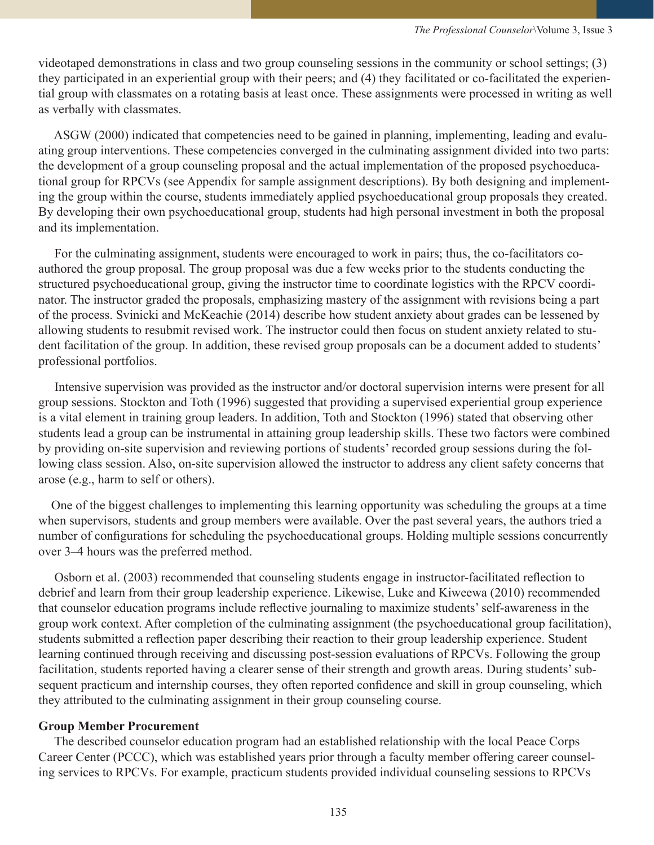videotaped demonstrations in class and two group counseling sessions in the community or school settings; (3) they participated in an experiential group with their peers; and (4) they facilitated or co-facilitated the experiential group with classmates on a rotating basis at least once. These assignments were processed in writing as well as verbally with classmates.

 ASGW (2000) indicated that competencies need to be gained in planning, implementing, leading and evaluating group interventions. These competencies converged in the culminating assignment divided into two parts: the development of a group counseling proposal and the actual implementation of the proposed psychoeducational group for RPCVs (see Appendix for sample assignment descriptions). By both designing and implementing the group within the course, students immediately applied psychoeducational group proposals they created. By developing their own psychoeducational group, students had high personal investment in both the proposal and its implementation.

 For the culminating assignment, students were encouraged to work in pairs; thus, the co-facilitators coauthored the group proposal. The group proposal was due a few weeks prior to the students conducting the structured psychoeducational group, giving the instructor time to coordinate logistics with the RPCV coordinator. The instructor graded the proposals, emphasizing mastery of the assignment with revisions being a part of the process. Svinicki and McKeachie (2014) describe how student anxiety about grades can be lessened by allowing students to resubmit revised work. The instructor could then focus on student anxiety related to student facilitation of the group. In addition, these revised group proposals can be a document added to students' professional portfolios.

 Intensive supervision was provided as the instructor and/or doctoral supervision interns were present for all group sessions. Stockton and Toth (1996) suggested that providing a supervised experiential group experience is a vital element in training group leaders. In addition, Toth and Stockton (1996) stated that observing other students lead a group can be instrumental in attaining group leadership skills. These two factors were combined by providing on-site supervision and reviewing portions of students' recorded group sessions during the following class session. Also, on-site supervision allowed the instructor to address any client safety concerns that arose (e.g., harm to self or others).

 One of the biggest challenges to implementing this learning opportunity was scheduling the groups at a time when supervisors, students and group members were available. Over the past several years, the authors tried a number of configurations for scheduling the psychoeducational groups. Holding multiple sessions concurrently over 3–4 hours was the preferred method.

 Osborn et al. (2003) recommended that counseling students engage in instructor-facilitated reflection to debrief and learn from their group leadership experience. Likewise, Luke and Kiweewa (2010) recommended that counselor education programs include reflective journaling to maximize students' self-awareness in the group work context. After completion of the culminating assignment (the psychoeducational group facilitation), students submitted a reflection paper describing their reaction to their group leadership experience. Student learning continued through receiving and discussing post-session evaluations of RPCVs. Following the group facilitation, students reported having a clearer sense of their strength and growth areas. During students' subsequent practicum and internship courses, they often reported confidence and skill in group counseling, which they attributed to the culminating assignment in their group counseling course.

## **Group Member Procurement**

 The described counselor education program had an established relationship with the local Peace Corps Career Center (PCCC), which was established years prior through a faculty member offering career counseling services to RPCVs. For example, practicum students provided individual counseling sessions to RPCVs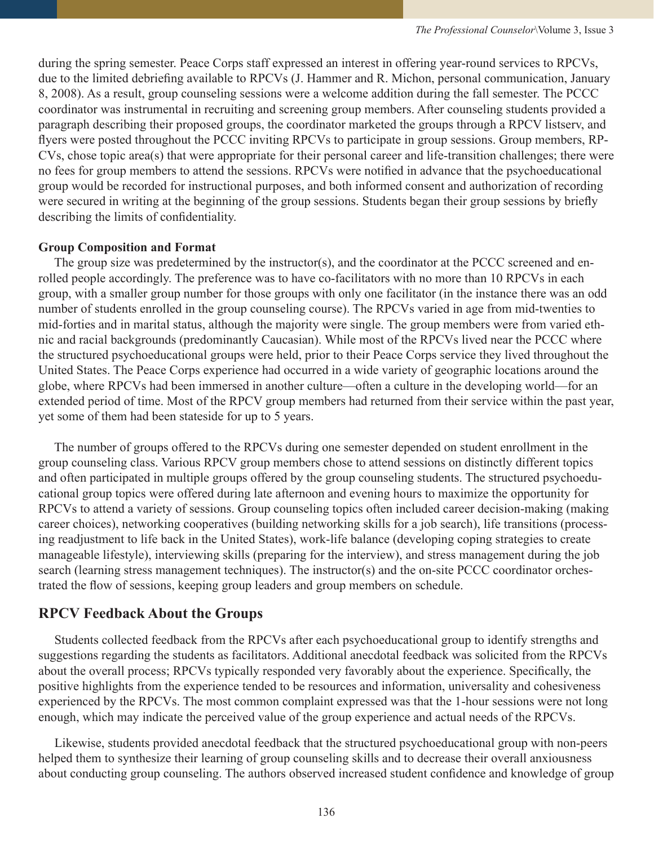during the spring semester. Peace Corps staff expressed an interest in offering year-round services to RPCVs, due to the limited debriefing available to RPCVs (J. Hammer and R. Michon, personal communication, January 8, 2008). As a result, group counseling sessions were a welcome addition during the fall semester. The PCCC coordinator was instrumental in recruiting and screening group members. After counseling students provided a paragraph describing their proposed groups, the coordinator marketed the groups through a RPCV listserv, and flyers were posted throughout the PCCC inviting RPCVs to participate in group sessions. Group members, RP-CVs, chose topic area(s) that were appropriate for their personal career and life-transition challenges; there were no fees for group members to attend the sessions. RPCVs were notified in advance that the psychoeducational group would be recorded for instructional purposes, and both informed consent and authorization of recording were secured in writing at the beginning of the group sessions. Students began their group sessions by briefly describing the limits of confidentiality.

## **Group Composition and Format**

 The group size was predetermined by the instructor(s), and the coordinator at the PCCC screened and enrolled people accordingly. The preference was to have co-facilitators with no more than 10 RPCVs in each group, with a smaller group number for those groups with only one facilitator (in the instance there was an odd number of students enrolled in the group counseling course). The RPCVs varied in age from mid-twenties to mid-forties and in marital status, although the majority were single. The group members were from varied ethnic and racial backgrounds (predominantly Caucasian). While most of the RPCVs lived near the PCCC where the structured psychoeducational groups were held, prior to their Peace Corps service they lived throughout the United States. The Peace Corps experience had occurred in a wide variety of geographic locations around the globe, where RPCVs had been immersed in another culture—often a culture in the developing world—for an extended period of time. Most of the RPCV group members had returned from their service within the past year, yet some of them had been stateside for up to 5 years.

 The number of groups offered to the RPCVs during one semester depended on student enrollment in the group counseling class. Various RPCV group members chose to attend sessions on distinctly different topics and often participated in multiple groups offered by the group counseling students. The structured psychoeducational group topics were offered during late afternoon and evening hours to maximize the opportunity for RPCVs to attend a variety of sessions. Group counseling topics often included career decision-making (making career choices), networking cooperatives (building networking skills for a job search), life transitions (processing readjustment to life back in the United States), work-life balance (developing coping strategies to create manageable lifestyle), interviewing skills (preparing for the interview), and stress management during the job search (learning stress management techniques). The instructor(s) and the on-site PCCC coordinator orchestrated the flow of sessions, keeping group leaders and group members on schedule.

## **RPCV Feedback About the Groups**

 Students collected feedback from the RPCVs after each psychoeducational group to identify strengths and suggestions regarding the students as facilitators. Additional anecdotal feedback was solicited from the RPCVs about the overall process; RPCVs typically responded very favorably about the experience. Specifically, the positive highlights from the experience tended to be resources and information, universality and cohesiveness experienced by the RPCVs. The most common complaint expressed was that the 1-hour sessions were not long enough, which may indicate the perceived value of the group experience and actual needs of the RPCVs.

 Likewise, students provided anecdotal feedback that the structured psychoeducational group with non-peers helped them to synthesize their learning of group counseling skills and to decrease their overall anxiousness about conducting group counseling. The authors observed increased student confidence and knowledge of group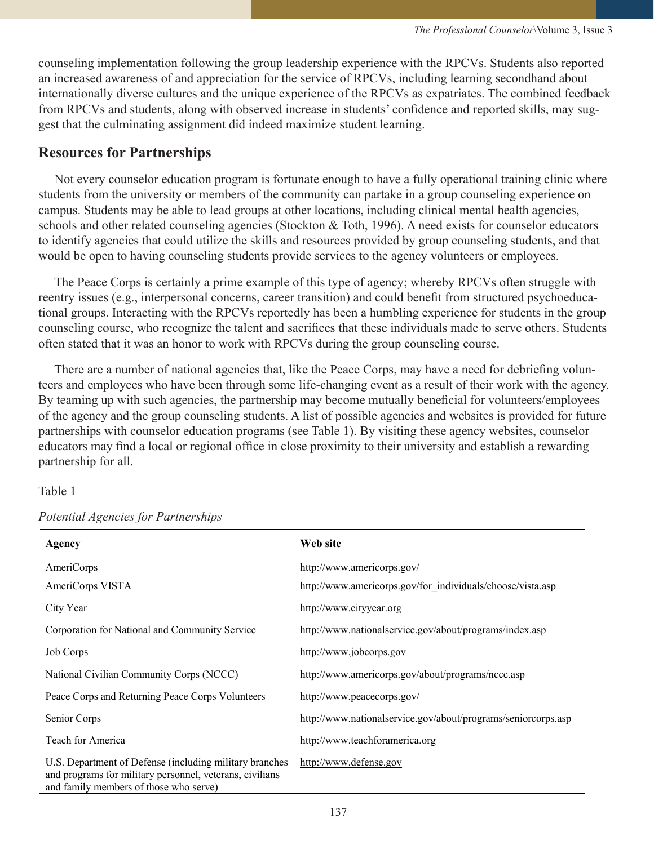counseling implementation following the group leadership experience with the RPCVs. Students also reported an increased awareness of and appreciation for the service of RPCVs, including learning secondhand about internationally diverse cultures and the unique experience of the RPCVs as expatriates. The combined feedback from RPCVs and students, along with observed increase in students' confidence and reported skills, may suggest that the culminating assignment did indeed maximize student learning.

# **Resources for Partnerships**

 Not every counselor education program is fortunate enough to have a fully operational training clinic where students from the university or members of the community can partake in a group counseling experience on campus. Students may be able to lead groups at other locations, including clinical mental health agencies, schools and other related counseling agencies (Stockton & Toth, 1996). A need exists for counselor educators to identify agencies that could utilize the skills and resources provided by group counseling students, and that would be open to having counseling students provide services to the agency volunteers or employees.

 The Peace Corps is certainly a prime example of this type of agency; whereby RPCVs often struggle with reentry issues (e.g., interpersonal concerns, career transition) and could benefit from structured psychoeducational groups. Interacting with the RPCVs reportedly has been a humbling experience for students in the group counseling course, who recognize the talent and sacrifices that these individuals made to serve others. Students often stated that it was an honor to work with RPCVs during the group counseling course.

 There are a number of national agencies that, like the Peace Corps, may have a need for debriefing volunteers and employees who have been through some life-changing event as a result of their work with the agency. By teaming up with such agencies, the partnership may become mutually beneficial for volunteers/employees of the agency and the group counseling students. A list of possible agencies and websites is provided for future partnerships with counselor education programs (see Table 1). By visiting these agency websites, counselor educators may find a local or regional office in close proximity to their university and establish a rewarding partnership for all.

## Table 1

| <b>Agency</b>                                                                                                                                                 | Web site                                                      |
|---------------------------------------------------------------------------------------------------------------------------------------------------------------|---------------------------------------------------------------|
| AmeriCorps                                                                                                                                                    | http://www.americorps.gov/                                    |
| AmeriCorps VISTA                                                                                                                                              | http://www.americorps.gov/for_individuals/choose/vista.asp    |
| City Year                                                                                                                                                     | http://www.cityyear.org                                       |
| Corporation for National and Community Service                                                                                                                | http://www.nationalservice.gov/about/programs/index.asp       |
| Job Corps                                                                                                                                                     | http://www.jobcorps.gov                                       |
| National Civilian Community Corps (NCCC)                                                                                                                      | http://www.americorps.gov/about/programs/nccc.asp             |
| Peace Corps and Returning Peace Corps Volunteers                                                                                                              | http://www.peacecorps.gov/                                    |
| Senior Corps                                                                                                                                                  | http://www.nationalservice.gov/about/programs/seniorcorps.asp |
| Teach for America                                                                                                                                             | http://www.teachforamerica.org                                |
| U.S. Department of Defense (including military branches<br>and programs for military personnel, veterans, civilians<br>and family members of those who serve) | http://www.defense.gov                                        |

## *Potential Agencies for Partnerships*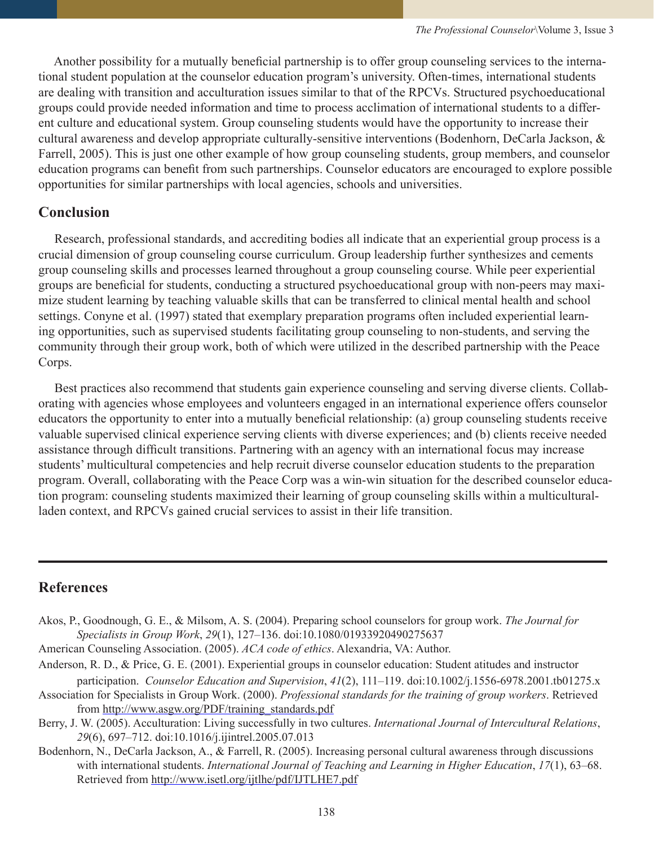Another possibility for a mutually beneficial partnership is to offer group counseling services to the international student population at the counselor education program's university. Often-times, international students are dealing with transition and acculturation issues similar to that of the RPCVs. Structured psychoeducational groups could provide needed information and time to process acclimation of international students to a different culture and educational system. Group counseling students would have the opportunity to increase their cultural awareness and develop appropriate culturally-sensitive interventions (Bodenhorn, DeCarla Jackson, & Farrell, 2005). This is just one other example of how group counseling students, group members, and counselor education programs can benefit from such partnerships. Counselor educators are encouraged to explore possible opportunities for similar partnerships with local agencies, schools and universities.

# **Conclusion**

 Research, professional standards, and accrediting bodies all indicate that an experiential group process is a crucial dimension of group counseling course curriculum. Group leadership further synthesizes and cements group counseling skills and processes learned throughout a group counseling course. While peer experiential groups are beneficial for students, conducting a structured psychoeducational group with non-peers may maximize student learning by teaching valuable skills that can be transferred to clinical mental health and school settings. Conyne et al. (1997) stated that exemplary preparation programs often included experiential learning opportunities, such as supervised students facilitating group counseling to non-students, and serving the community through their group work, both of which were utilized in the described partnership with the Peace Corps.

 Best practices also recommend that students gain experience counseling and serving diverse clients. Collaborating with agencies whose employees and volunteers engaged in an international experience offers counselor educators the opportunity to enter into a mutually beneficial relationship: (a) group counseling students receive valuable supervised clinical experience serving clients with diverse experiences; and (b) clients receive needed assistance through difficult transitions. Partnering with an agency with an international focus may increase students' multicultural competencies and help recruit diverse counselor education students to the preparation program. Overall, collaborating with the Peace Corp was a win-win situation for the described counselor education program: counseling students maximized their learning of group counseling skills within a multiculturalladen context, and RPCVs gained crucial services to assist in their life transition.

# **References**

- Akos, P., Goodnough, G. E., & Milsom, A. S. (2004). Preparing school counselors for group work. *The Journal for Specialists in Group Work*, *29*(1), 127–136. doi:10.1080/01933920490275637
- American Counseling Association. (2005). *ACA code of ethics*. Alexandria, VA: Author.
- Anderson, R. D., & Price, G. E. (2001). Experiential groups in counselor education: Student atitudes and instructor participation. *Counselor Education and Supervision*, *41*(2), 111–119. doi:10.1002/j.1556-6978.2001.tb01275.x
- Association for Specialists in Group Work. (2000). *Professional standards for the training of group workers*. Retrieved from http://www.asgw.org/PDF/training\_standards.pdf
- Berry, J. W. (2005). Acculturation: Living successfully in two cultures. *International Journal of Intercultural Relations*, *29*(6), 697–712. doi:10.1016/j.ijintrel.2005.07.013
- Bodenhorn, N., DeCarla Jackson, A., & Farrell, R. (2005). Increasing personal cultural awareness through discussions with international students. *International Journal of Teaching and Learning in Higher Education*, *17*(1), 63–68. Retrieved from http://www.isetl.org/ijtlhe/pdf/IJTLHE7.pdf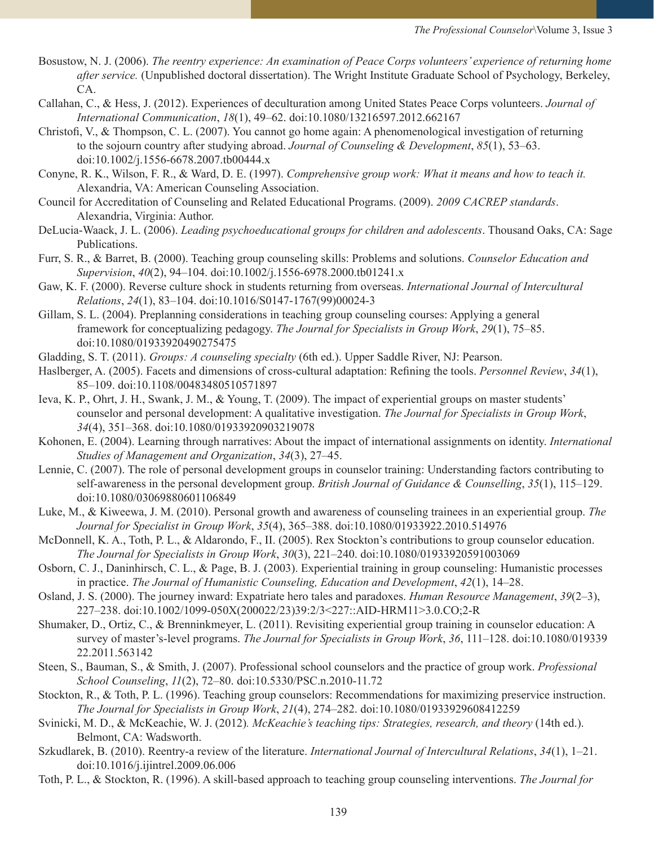- Bosustow, N. J. (2006). *The reentry experience: An examination of Peace Corps volunteers' experience of returning home after service.* (Unpublished doctoral dissertation). The Wright Institute Graduate School of Psychology, Berkeley, CA.
- Callahan, C., & Hess, J. (2012). Experiences of deculturation among United States Peace Corps volunteers. *Journal of International Communication*, *18*(1), 49–62. doi:10.1080/13216597.2012.662167
- Christofi, V., & Thompson, C. L. (2007). You cannot go home again: A phenomenological investigation of returning to the sojourn country after studying abroad. *Journal of Counseling & Development*, *85*(1), 53–63. doi:10.1002/j.1556-6678.2007.tb00444.x
- Conyne, R. K., Wilson, F. R., & Ward, D. E. (1997). *Comprehensive group work: What it means and how to teach it.*  Alexandria, VA: American Counseling Association.
- Council for Accreditation of Counseling and Related Educational Programs. (2009). *2009 CACREP standards*. Alexandria, Virginia: Author.
- DeLucia-Waack, J. L. (2006). *Leading psychoeducational groups for children and adolescents*. Thousand Oaks, CA: Sage Publications.
- Furr, S. R., & Barret, B. (2000). Teaching group counseling skills: Problems and solutions. *Counselor Education and Supervision*, *40*(2), 94–104. doi:10.1002/j.1556-6978.2000.tb01241.x
- Gaw, K. F. (2000). Reverse culture shock in students returning from overseas. *International Journal of Intercultural Relations*, *24*(1), 83–104. doi:10.1016/S0147-1767(99)00024-3
- Gillam, S. L. (2004). Preplanning considerations in teaching group counseling courses: Applying a general framework for conceptualizing pedagogy. *The Journal for Specialists in Group Work*, *29*(1), 75–85. doi:10.1080/01933920490275475
- Gladding, S. T. (2011). *Groups: A counseling specialty* (6th ed.). Upper Saddle River, NJ: Pearson.
- Haslberger, A. (2005). Facets and dimensions of cross-cultural adaptation: Refining the tools. *Personnel Review*, *34*(1), 85–109. doi:10.1108/00483480510571897
- Ieva, K. P., Ohrt, J. H., Swank, J. M., & Young, T. (2009). The impact of experiential groups on master students' counselor and personal development: A qualitative investigation. *The Journal for Specialists in Group Work*, *34*(4), 351–368. doi:10.1080/01933920903219078
- Kohonen, E. (2004). Learning through narratives: About the impact of international assignments on identity. *International Studies of Management and Organization*, *34*(3), 27–45.
- Lennie, C. (2007). The role of personal development groups in counselor training: Understanding factors contributing to self-awareness in the personal development group. *British Journal of Guidance & Counselling*, *35*(1), 115–129. doi:10.1080/03069880601106849
- Luke, M., & Kiweewa, J. M. (2010). Personal growth and awareness of counseling trainees in an experiential group. *The Journal for Specialist in Group Work*, *35*(4), 365–388. doi:10.1080/01933922.2010.514976
- McDonnell, K. A., Toth, P. L., & Aldarondo, F., II. (2005). Rex Stockton's contributions to group counselor education. *The Journal for Specialists in Group Work*, *30*(3), 221–240. doi:10.1080/01933920591003069
- Osborn, C. J., Daninhirsch, C. L., & Page, B. J. (2003). Experiential training in group counseling: Humanistic processes in practice. *The Journal of Humanistic Counseling, Education and Development*, *42*(1), 14–28.
- Osland, J. S. (2000). The journey inward: Expatriate hero tales and paradoxes. *Human Resource Management*, *39*(2–3), 227–238. doi:10.1002/1099-050X(200022/23)39:2/3<227::AID-HRM11>3.0.CO;2-R
- Shumaker, D., Ortiz, C., & Brenninkmeyer, L. (2011). Revisiting experiential group training in counselor education: A survey of master's-level programs. *The Journal for Specialists in Group Work*, *36*, 111–128. doi:10.1080/019339 22.2011.563142
- Steen, S., Bauman, S., & Smith, J. (2007). Professional school counselors and the practice of group work. *Professional School Counseling*, *11*(2), 72–80. doi:10.5330/PSC.n.2010-11.72
- Stockton, R., & Toth, P. L. (1996). Teaching group counselors: Recommendations for maximizing preservice instruction. *The Journal for Specialists in Group Work*, *21*(4), 274–282. doi:10.1080/01933929608412259
- Svinicki, M. D., & McKeachie, W. J. (2012)*. McKeachie's teaching tips: Strategies, research, and theory* (14th ed.). Belmont, CA: Wadsworth.
- Szkudlarek, B. (2010). Reentry-a review of the literature. *International Journal of Intercultural Relations*, *34*(1), 1–21. doi:10.1016/j.ijintrel.2009.06.006
- Toth, P. L., & Stockton, R. (1996). A skill-based approach to teaching group counseling interventions. *The Journal for*